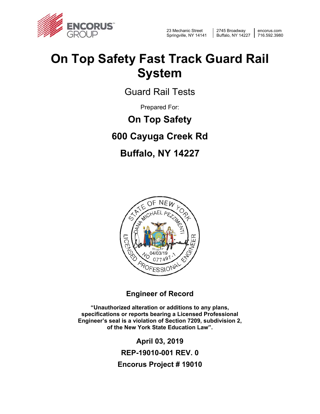

23 Mechanic Street Springville, NY 14141

2745 Broadway Buffalo, NY 14227

encorus.com 716.592.3980

## **On Top Safety Fast Track Guard Rail System**

Guard Rail Tests

Prepared For:

**On Top Safety**

**600 Cayuga Creek Rd** 

### **Buffalo, NY 14227**



**Engineer of Record** 

**"Unauthorized alteration or additions to any plans, specifications or reports bearing a Licensed Professional Engineer's seal is a violation of Section 7209, subdivision 2, of the New York State Education Law".** 

> **April 03, 2019 REP-19010-001 REV. 0 Encorus Project # 19010**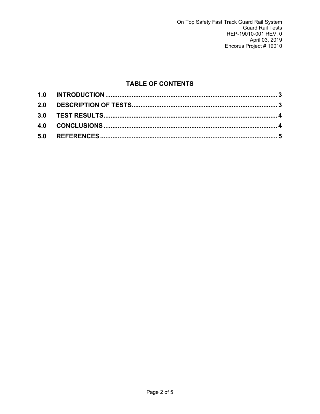#### **TABLE OF CONTENTS**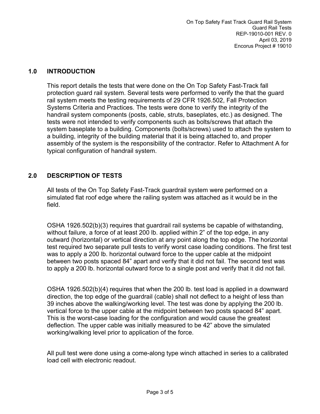#### **1.0 INTRODUCTION**

This report details the tests that were done on the On Top Safety Fast-Track fall protection guard rail system. Several tests were performed to verify the that the guard rail system meets the testing requirements of 29 CFR 1926.502, Fall Protection Systems Criteria and Practices. The tests were done to verify the integrity of the handrail system components (posts, cable, struts, baseplates, etc.) as designed. The tests were not intended to verify components such as bolts/screws that attach the system baseplate to a building. Components (bolts/screws) used to attach the system to a building, integrity of the building material that it is being attached to, and proper assembly of the system is the responsibility of the contractor. Refer to Attachment A for typical configuration of handrail system.

#### **2.0 DESCRIPTION OF TESTS**

All tests of the On Top Safety Fast-Track guardrail system were performed on a simulated flat roof edge where the railing system was attached as it would be in the field.

OSHA 1926.502(b)(3) requires that guardrail rail systems be capable of withstanding, without failure, a force of at least 200 lb. applied within 2" of the top edge, in any outward (horizontal) or vertical direction at any point along the top edge. The horizontal test required two separate pull tests to verify worst case loading conditions. The first test was to apply a 200 lb. horizontal outward force to the upper cable at the midpoint between two posts spaced 84" apart and verify that it did not fail. The second test was to apply a 200 lb. horizontal outward force to a single post and verify that it did not fail.

OSHA 1926.502(b)(4) requires that when the 200 lb. test load is applied in a downward direction, the top edge of the guardrail (cable) shall not deflect to a height of less than 39 inches above the walking/working level. The test was done by applying the 200 lb. vertical force to the upper cable at the midpoint between two posts spaced 84" apart. This is the worst-case loading for the configuration and would cause the greatest deflection. The upper cable was initially measured to be 42" above the simulated working/walking level prior to application of the force.

All pull test were done using a come-along type winch attached in series to a calibrated load cell with electronic readout.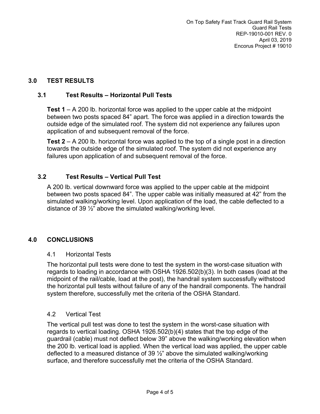#### **3.0 TEST RESULTS**

#### **3.1 Test Results – Horizontal Pull Tests**

**Test 1** – A 200 lb. horizontal force was applied to the upper cable at the midpoint between two posts spaced 84" apart. The force was applied in a direction towards the outside edge of the simulated roof. The system did not experience any failures upon application of and subsequent removal of the force.

**Test 2** – A 200 lb. horizontal force was applied to the top of a single post in a direction towards the outside edge of the simulated roof. The system did not experience any failures upon application of and subsequent removal of the force.

#### **3.2 Test Results – Vertical Pull Test**

A 200 lb. vertical downward force was applied to the upper cable at the midpoint between two posts spaced 84". The upper cable was initially measured at 42" from the simulated walking/working level. Upon application of the load, the cable deflected to a distance of 39 ½" above the simulated walking/working level.

#### **4.0 CONCLUSIONS**

#### 4.1 Horizontal Tests

The horizontal pull tests were done to test the system in the worst-case situation with regards to loading in accordance with OSHA 1926.502(b)(3). In both cases (load at the midpoint of the rail/cable, load at the post), the handrail system successfully withstood the horizontal pull tests without failure of any of the handrail components. The handrail system therefore, successfully met the criteria of the OSHA Standard.

#### 4.2 Vertical Test

The vertical pull test was done to test the system in the worst-case situation with regards to vertical loading. OSHA 1926.502(b)(4) states that the top edge of the guardrail (cable) must not deflect below 39" above the walking/working elevation when the 200 lb. vertical load is applied. When the vertical load was applied, the upper cable deflected to a measured distance of 39  $\frac{1}{2}$ " above the simulated walking/working surface, and therefore successfully met the criteria of the OSHA Standard.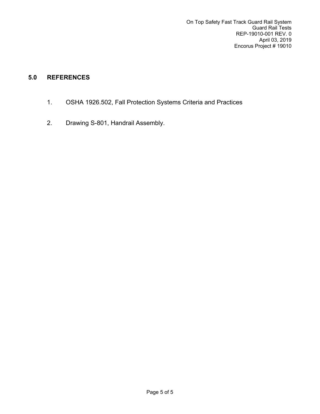#### **5.0 REFERENCES**

- 1. OSHA 1926.502, Fall Protection Systems Criteria and Practices
- 2. Drawing S-801, Handrail Assembly.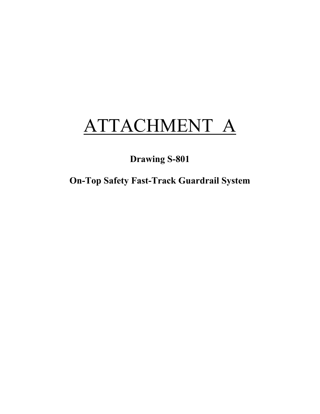# ATTACHMENT A

**Drawing S-801** 

**On-Top Safety Fast-Track Guardrail System**